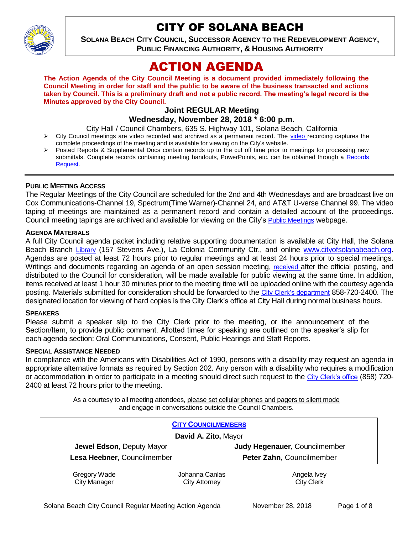

# CITY OF SOLANA BEACH

**SOLANA BEACH CITY COUNCIL, SUCCESSOR AGENCY TO THE REDEVELOPMENT AGENCY, PUBLIC FINANCING AUTHORITY, & HOUSING AUTHORITY** 

# ACTION AGENDA

**The Action Agenda of the City Council Meeting is a document provided immediately following the Council Meeting in order for staff and the public to be aware of the business transacted and actions taken by Council. This is a preliminary draft and not a public record. The meeting's legal record is the Minutes approved by the City Council.**

# **Joint REGULAR Meeting**

# **Wednesday, November 28, 2018 \* 6:00 p.m.**

City Hall / Council Chambers, 635 S. Highway 101, Solana Beach, California

- $\triangleright$  City Council meetings are [video r](https://solanabeach.12milesout.com/#page=1)ecorded and archived as a permanent record. The video recording captures the complete proceedings of the meeting and is available for viewing on the City's website.
- Posted Reports & Supplemental Docs contain records up to the cut off time prior to meetings for processing new submittals. Complete records containing meeting handouts, PowerPoints, etc. can be obtained through a [Records](http://www.ci.solana-beach.ca.us/index.asp?SEC=F5D45D10-70CE-4291-A27C-7BD633FC6742&Type=B_BASIC)  [Request.](http://www.ci.solana-beach.ca.us/index.asp?SEC=F5D45D10-70CE-4291-A27C-7BD633FC6742&Type=B_BASIC)

#### **PUBLIC MEETING ACCESS**

The Regular Meetings of the City Council are scheduled for the 2nd and 4th Wednesdays and are broadcast live on Cox Communications-Channel 19, Spectrum(Time Warner)-Channel 24, and AT&T U-verse Channel 99. The video taping of meetings are maintained as a permanent record and contain a detailed account of the proceedings. Council meeting tapings are archived and available for viewing on the City's [Public Meetings](https://www.ci.solana-beach.ca.us/index.asp?SEC=F0F1200D-21C6-4A88-8AE1-0BC07C1A81A7&Type=B_BASIC) webpage.

#### **AGENDA MATERIALS**

A full City Council agenda packet including relative supporting documentation is available at City Hall, the Solana Beach Branch [Library](http://www.sdcl.org/locations_SB.html) (157 Stevens Ave.), La Colonia Community Ctr., and online [www.cityofsolanabeach.org.](http://www.cityofsolanabeach.org/) Agendas are posted at least 72 hours prior to regular meetings and at least 24 hours prior to special meetings. Writings and documents regarding an agenda of an open session meeting, [received](mailto:EMAILGRP-CityClerksOfc@cosb.org) after the official posting, and distributed to the Council for consideration, will be made available for public viewing at the same time. In addition, items received at least 1 hour 30 minutes prior to the meeting time will be uploaded online with the courtesy agenda posting. Materials submitted for consideration should be forwarded to the [City Clerk's department](mailto:EMAILGRP-CityClerksOfc@cosb.org) 858-720-2400. The designated location for viewing of hard copies is the City Clerk's office at City Hall during normal business hours.

#### **SPEAKERS**

Please submit a speaker slip to the City Clerk prior to the meeting, or the announcement of the Section/Item, to provide public comment. Allotted times for speaking are outlined on the speaker's slip for each agenda section: Oral Communications, Consent, Public Hearings and Staff Reports.

#### **SPECIAL ASSISTANCE NEEDED**

In compliance with the Americans with Disabilities Act of 1990, persons with a disability may request an agenda in appropriate alternative formats as required by Section 202. Any person with a disability who requires a modification or accommodation in order to participate in a meeting should direct such request to the [City Clerk's office](mailto:clerkadmin@cosb.org?subject=City%20Clerk%20Notice%20of%20Special%20Services%20Needed) (858) 720- 2400 at least 72 hours prior to the meeting.

> As a courtesy to all meeting attendees, please set cellular phones and pagers to silent mode and engage in conversations outside the Council Chambers.

| <b>CITY COUNCILMEMBERS</b>  |                |                               |
|-----------------------------|----------------|-------------------------------|
| David A. Zito, Mayor        |                |                               |
| Jewel Edson, Deputy Mayor   |                | Judy Hegenauer, Councilmember |
| Lesa Heebner, Councilmember |                | Peter Zahn, Councilmember     |
| Gregory Wade                | Johanna Canlas | Angela Ivey                   |
| <b>City Manager</b>         | City Attorney  | <b>City Clerk</b>             |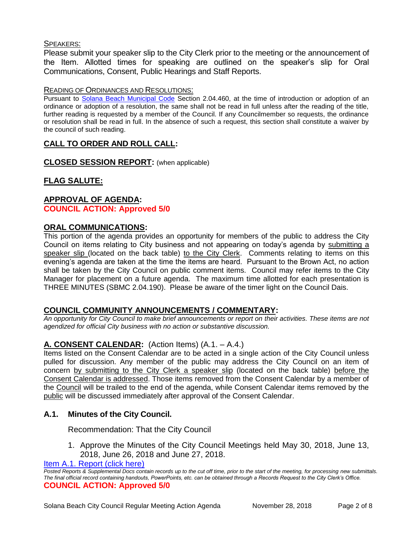### SPEAKERS:

Please submit your speaker slip to the City Clerk prior to the meeting or the announcement of the Item. Allotted times for speaking are outlined on the speaker's slip for Oral Communications, Consent, Public Hearings and Staff Reports.

#### READING OF ORDINANCES AND RESOLUTIONS:

Pursuant to [Solana Beach Municipal Code](mailto:https://www.codepublishing.com/CA/SolanaBeach/) Section 2.04.460, at the time of introduction or adoption of an ordinance or adoption of a resolution, the same shall not be read in full unless after the reading of the title, further reading is requested by a member of the Council. If any Councilmember so requests, the ordinance or resolution shall be read in full. In the absence of such a request, this section shall constitute a waiver by the council of such reading.

# **CALL TO ORDER AND ROLL CALL:**

**CLOSED SESSION REPORT:** (when applicable)

# **FLAG SALUTE:**

## **APPROVAL OF AGENDA: COUNCIL ACTION: Approved 5/0**

# **ORAL COMMUNICATIONS:**

This portion of the agenda provides an opportunity for members of the public to address the City Council on items relating to City business and not appearing on today's agenda by submitting a speaker slip (located on the back table) to the City Clerk. Comments relating to items on this evening's agenda are taken at the time the items are heard. Pursuant to the Brown Act, no action shall be taken by the City Council on public comment items. Council may refer items to the City Manager for placement on a future agenda. The maximum time allotted for each presentation is THREE MINUTES (SBMC 2.04.190). Please be aware of the timer light on the Council Dais.

# **COUNCIL COMMUNITY ANNOUNCEMENTS / COMMENTARY:**

*An opportunity for City Council to make brief announcements or report on their activities. These items are not agendized for official City business with no action or substantive discussion.* 

# **A. CONSENT CALENDAR:** (Action Items) (A.1. – A.4.)

Items listed on the Consent Calendar are to be acted in a single action of the City Council unless pulled for discussion. Any member of the public may address the City Council on an item of concern by submitting to the City Clerk a speaker slip (located on the back table) before the Consent Calendar is addressed. Those items removed from the Consent Calendar by a member of the Council will be trailed to the end of the agenda, while Consent Calendar items removed by the public will be discussed immediately after approval of the Consent Calendar.

# **A.1. Minutes of the City Council.**

Recommendation: That the City Council

1. Approve the Minutes of the City Council Meetings held May 30, 2018, June 13, 2018, June 26, 2018 and June 27, 2018.

[Item A.1. Report \(click here\)](https://solanabeach.govoffice3.com/vertical/Sites/%7B840804C2-F869-4904-9AE3-720581350CE7%7D/uploads/Item_A.1._Report_(click_here)_-_11-28-18.pdf) 

*Posted Reports & Supplemental Docs contain records up to the cut off time, prior to the start of the meeting, for processing new submittals. The final official record containing handouts, PowerPoints, etc. can be obtained through a Records Request to the City Clerk's Office.* **COUNCIL ACTION: Approved 5/0**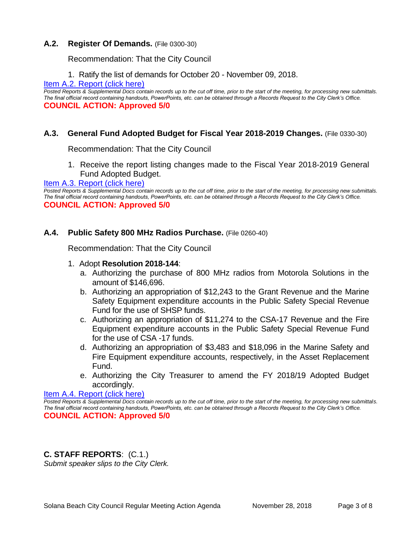#### **A.2. Register Of Demands.** (File 0300-30)

Recommendation: That the City Council

1. Ratify the list of demands for October 20 - November 09, 2018.

[Item A.2. Report \(click here\)](https://solanabeach.govoffice3.com/vertical/Sites/%7B840804C2-F869-4904-9AE3-720581350CE7%7D/uploads/Item_A.2._Report_(click_here)_-_11-28-18.PDF) 

*Posted Reports & Supplemental Docs contain records up to the cut off time, prior to the start of the meeting, for processing new submittals. The final official record containing handouts, PowerPoints, etc. can be obtained through a Records Request to the City Clerk's Office.* **COUNCIL ACTION: Approved 5/0**

## **A.3. General Fund Adopted Budget for Fiscal Year 2018-2019 Changes.** (File 0330-30)

Recommendation: That the City Council

1. Receive the report listing changes made to the Fiscal Year 2018-2019 General Fund Adopted Budget.

Item A.3. Report (click here)

*Posted Reports & Supplemental Docs contain records up to the cut off time, prior to the start of the meeting, for processing new submittals. The final official record containing handouts, PowerPoints, etc. can be obtained through a Records Request to the City Clerk's Office.* **COUNCIL ACTION: Approved 5/0**

#### **A.4. Public Safety 800 MHz Radios Purchase.** (File 0260-40)

Recommendation: That the City Council

- 1. Adopt **Resolution 2018-144**:
	- a. Authorizing the purchase of 800 MHz radios from Motorola Solutions in the amount of \$146,696.
	- b. Authorizing an appropriation of \$12,243 to the Grant Revenue and the Marine Safety Equipment expenditure accounts in the Public Safety Special Revenue Fund for the use of SHSP funds.
	- c. Authorizing an appropriation of \$11,274 to the CSA-17 Revenue and the Fire Equipment expenditure accounts in the Public Safety Special Revenue Fund for the use of CSA -17 funds.
	- d. Authorizing an appropriation of \$3,483 and \$18,096 in the Marine Safety and Fire Equipment expenditure accounts, respectively, in the Asset Replacement Fund.
	- e. Authorizing the City Treasurer to amend the FY 2018/19 Adopted Budget accordingly.

#### [Item A.4. Report \(click here\)](https://solanabeach.govoffice3.com/vertical/Sites/%7B840804C2-F869-4904-9AE3-720581350CE7%7D/uploads/Item_A.4._Report_(click_here)_-_11-28-18.PDF)

*Posted Reports & Supplemental Docs contain records up to the cut off time, prior to the start of the meeting, for processing new submittals. The final official record containing handouts, PowerPoints, etc. can be obtained through a Records Request to the City Clerk's Office.* **COUNCIL ACTION: Approved 5/0**

**C. STAFF REPORTS**: (C.1.)

*Submit speaker slips to the City Clerk.*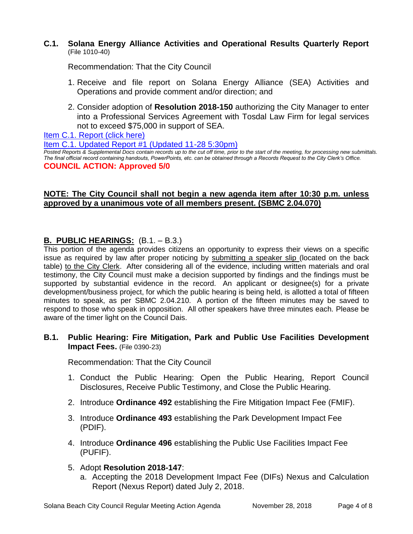### **C.1. Solana Energy Alliance Activities and Operational Results Quarterly Report**  (File 1010-40)

Recommendation: That the City Council

- 1. Receive and file report on Solana Energy Alliance (SEA) Activities and Operations and provide comment and/or direction; and
- 2. Consider adoption of **Resolution 2018-150** authorizing the City Manager to enter into a Professional Services Agreement with Tosdal Law Firm for legal services not to exceed \$75,000 in support of SEA.

[Item C.1. Report \(click here\)](https://solanabeach.govoffice3.com/vertical/Sites/%7B840804C2-F869-4904-9AE3-720581350CE7%7D/uploads/Item_C.1._Report_(click_here)_-_11-28-18.pdf) 

[Item C.1. Updated Report #1 \(Updated 11-28 5:30pm\)](https://solanabeach.govoffice3.com/vertical/Sites/%7B840804C2-F869-4904-9AE3-720581350CE7%7D/uploads/Item_C.1._Staff_Report_Update_1.pdf)

*Posted Reports & Supplemental Docs contain records up to the cut off time, prior to the start of the meeting, for processing new submittals. The final official record containing handouts, PowerPoints, etc. can be obtained through a Records Request to the City Clerk's Office.* **COUNCIL ACTION: Approved 5/0**

# **NOTE: The City Council shall not begin a new agenda item after 10:30 p.m. unless approved by a unanimous vote of all members present. (SBMC 2.04.070)**

# **B. PUBLIC HEARINGS:** (B.1. – B.3.)

This portion of the agenda provides citizens an opportunity to express their views on a specific issue as required by law after proper noticing by submitting a speaker slip (located on the back table) to the City Clerk. After considering all of the evidence, including written materials and oral testimony, the City Council must make a decision supported by findings and the findings must be supported by substantial evidence in the record. An applicant or designee(s) for a private development/business project, for which the public hearing is being held, is allotted a total of fifteen minutes to speak, as per SBMC 2.04.210. A portion of the fifteen minutes may be saved to respond to those who speak in opposition. All other speakers have three minutes each. Please be aware of the timer light on the Council Dais.

# **B.1. Public Hearing: Fire Mitigation, Park and Public Use Facilities Development Impact Fees.** (File 0390-23)

Recommendation: That the City Council

- 1. Conduct the Public Hearing: Open the Public Hearing, Report Council Disclosures, Receive Public Testimony, and Close the Public Hearing.
- 2. Introduce **Ordinance 492** establishing the Fire Mitigation Impact Fee (FMIF).
- 3. Introduce **Ordinance 493** establishing the Park Development Impact Fee (PDIF).
- 4. Introduce **Ordinance 496** establishing the Public Use Facilities Impact Fee (PUFIF).
- 5. Adopt **Resolution 2018-147**:
	- a. Accepting the 2018 Development Impact Fee (DIFs) Nexus and Calculation Report (Nexus Report) dated July 2, 2018.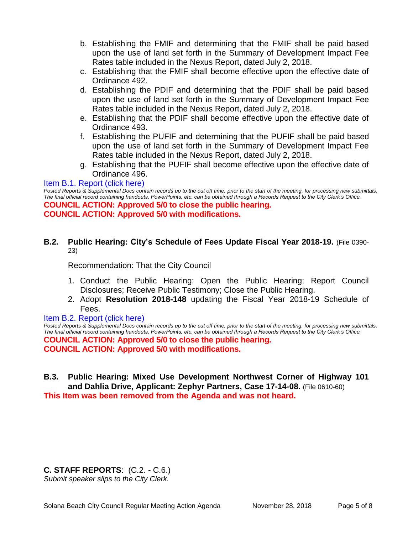- b. Establishing the FMIF and determining that the FMIF shall be paid based upon the use of land set forth in the Summary of Development Impact Fee Rates table included in the Nexus Report, dated July 2, 2018.
- c. Establishing that the FMIF shall become effective upon the effective date of Ordinance 492.
- d. Establishing the PDIF and determining that the PDIF shall be paid based upon the use of land set forth in the Summary of Development Impact Fee Rates table included in the Nexus Report, dated July 2, 2018.
- e. Establishing that the PDIF shall become effective upon the effective date of Ordinance 493.
- f. Establishing the PUFIF and determining that the PUFIF shall be paid based upon the use of land set forth in the Summary of Development Impact Fee Rates table included in the Nexus Report, dated July 2, 2018.
- g. Establishing that the PUFIF shall become effective upon the effective date of Ordinance 496.

### [Item B.1. Report \(click here\)](https://solanabeach.govoffice3.com/vertical/Sites/%7B840804C2-F869-4904-9AE3-720581350CE7%7D/uploads/Item_B.1._Report_(click_here)_-_11-28-18.pdf)

*Posted Reports & Supplemental Docs contain records up to the cut off time, prior to the start of the meeting, for processing new submittals. The final official record containing handouts, PowerPoints, etc. can be obtained through a Records Request to the City Clerk's Office.*

**COUNCIL ACTION: Approved 5/0 to close the public hearing. COUNCIL ACTION: Approved 5/0 with modifications.**

## **B.2. Public Hearing: City's Schedule of Fees Update Fiscal Year 2018-19.** (File 0390- 23)

Recommendation: That the City Council

- 1. Conduct the Public Hearing: Open the Public Hearing; Report Council Disclosures; Receive Public Testimony; Close the Public Hearing.
- 2. Adopt **Resolution 2018-148** updating the Fiscal Year 2018-19 Schedule of Fees.
- [Item B.2. Report \(click here\)](https://solanabeach.govoffice3.com/vertical/Sites/%7B840804C2-F869-4904-9AE3-720581350CE7%7D/uploads/Item_B.2._Report_(click_here)_-_11-28-18.pdf)

*Posted Reports & Supplemental Docs contain records up to the cut off time, prior to the start of the meeting, for processing new submittals. The final official record containing handouts, PowerPoints, etc. can be obtained through a Records Request to the City Clerk's Office.* **COUNCIL ACTION: Approved 5/0 to close the public hearing. COUNCIL ACTION: Approved 5/0 with modifications.**

**B.3. Public Hearing: Mixed Use Development Northwest Corner of Highway 101 and Dahlia Drive, Applicant: Zephyr Partners, Case 17-14-08.** (File 0610-60) **This Item was been removed from the Agenda and was not heard.** 

# **C. STAFF REPORTS**: (C.2. - C.6.)

*Submit speaker slips to the City Clerk.*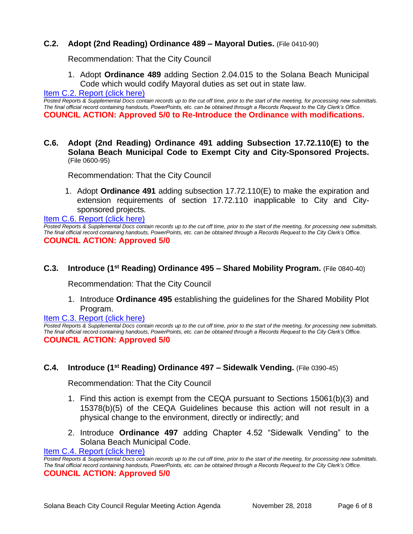# **C.2. Adopt (2nd Reading) Ordinance 489 – Mayoral Duties.** (File 0410-90)

Recommendation: That the City Council

1. Adopt **Ordinance 489** adding Section 2.04.015 to the Solana Beach Municipal Code which would codify Mayoral duties as set out in state law.

Item C.2. Report (click here)

*Posted Reports & Supplemental Docs contain records up to the cut off time, prior to the start of the meeting, for processing new submittals. The final official record containing handouts, PowerPoints, etc. can be obtained through a Records Request to the City Clerk's Office.* **COUNCIL ACTION: Approved 5/0 to Re-Introduce the Ordinance with modifications.**

**C.6. Adopt (2nd Reading) Ordinance 491 adding Subsection 17.72.110(E) to the Solana Beach Municipal Code to Exempt City and City-Sponsored Projects.**  (File 0600-95)

Recommendation: That the City Council

1. Adopt **Ordinance 491** adding subsection 17.72.110(E) to make the expiration and extension requirements of section 17.72.110 inapplicable to City and Citysponsored projects.

[Item C.6. Report \(click here\)](https://solanabeach.govoffice3.com/vertical/Sites/%7B840804C2-F869-4904-9AE3-720581350CE7%7D/uploads/Item_C.6._Report_(click_here)_-_11-28-18.PDF) 

*Posted Reports & Supplemental Docs contain records up to the cut off time, prior to the start of the meeting, for processing new submittals. The final official record containing handouts, PowerPoints, etc. can be obtained through a Records Request to the City Clerk's Office.* **COUNCIL ACTION: Approved 5/0**

## **C.3. Introduce (1<sup>st</sup> Reading) Ordinance 495 – Shared Mobility Program.** (File 0840-40)

Recommendation: That the City Council

1. Introduce **Ordinance 495** establishing the guidelines for the Shared Mobility Plot Program.

[Item C.3. Report \(click here\)](https://solanabeach.govoffice3.com/vertical/Sites/%7B840804C2-F869-4904-9AE3-720581350CE7%7D/uploads/Item_C.3._Report_(click_here)_-_11-28-2018.pdf) 

*Posted Reports & Supplemental Docs contain records up to the cut off time, prior to the start of the meeting, for processing new submittals. The final official record containing handouts, PowerPoints, etc. can be obtained through a Records Request to the City Clerk's Office.* **COUNCIL ACTION: Approved 5/0**

#### **C.4. Introduce (1 st Reading) Ordinance 497 – Sidewalk Vending.** (File 0390-45)

Recommendation: That the City Council

- 1. Find this action is exempt from the CEQA pursuant to Sections 15061(b)(3) and 15378(b)(5) of the CEQA Guidelines because this action will not result in a physical change to the environment, directly or indirectly; and
- 2. Introduce **Ordinance 497** adding Chapter 4.52 "Sidewalk Vending" to the Solana Beach Municipal Code.

[Item C.4. Report \(click here\)](https://solanabeach.govoffice3.com/vertical/Sites/%7B840804C2-F869-4904-9AE3-720581350CE7%7D/uploads/Item_C.4._Report_(click_here)_-_11-28-18.PDF) 

*Posted Reports & Supplemental Docs contain records up to the cut off time, prior to the start of the meeting, for processing new submittals. The final official record containing handouts, PowerPoints, etc. can be obtained through a Records Request to the City Clerk's Office.* **COUNCIL ACTION: Approved 5/0**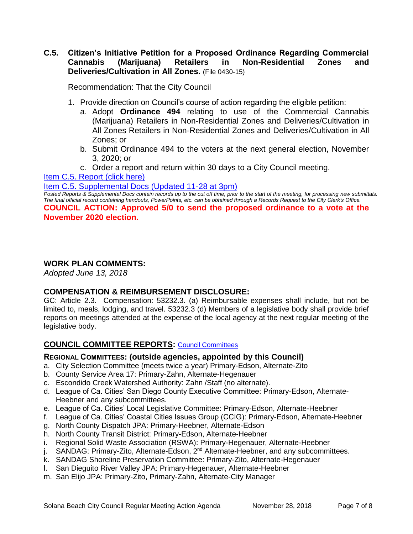# **C.5. Citizen's Initiative Petition for a Proposed Ordinance Regarding Commercial Cannabis (Marijuana) Retailers in Non-Residential Zones and Deliveries/Cultivation in All Zones.** (File 0430-15)

Recommendation: That the City Council

- 1. Provide direction on Council's course of action regarding the eligible petition:
	- a. Adopt **Ordinance 494** relating to use of the Commercial Cannabis (Marijuana) Retailers in Non-Residential Zones and Deliveries/Cultivation in All Zones Retailers in Non-Residential Zones and Deliveries/Cultivation in All Zones; or
	- b. Submit Ordinance 494 to the voters at the next general election, November 3, 2020; or
	- c. Order a report and return within 30 days to a City Council meeting.

[Item C.5. Report \(click here\)](https://solanabeach.govoffice3.com/vertical/Sites/%7B840804C2-F869-4904-9AE3-720581350CE7%7D/uploads/Item_C.5._Report_(click_here)_-_11-28-18.PDF) 

[Item C.5. Supplemental Docs \(Updated 11-28](https://solanabeach.govoffice3.com/vertical/Sites/%7B840804C2-F869-4904-9AE3-720581350CE7%7D/uploads/Item_C.5._Supplemental_Docs_(updated_11-28_at_3pm).pdf) at 3pm)

*Posted Reports & Supplemental Docs contain records up to the cut off time, prior to the start of the meeting, for processing new submittals. The final official record containing handouts, PowerPoints, etc. can be obtained through a Records Request to the City Clerk's Office.*

**COUNCIL ACTION: Approved 5/0 to send the proposed ordinance to a vote at the November 2020 election.** 

## **WORK PLAN COMMENTS:**

*Adopted June 13, 2018*

# **COMPENSATION & REIMBURSEMENT DISCLOSURE:**

GC: Article 2.3. Compensation: 53232.3. (a) Reimbursable expenses shall include, but not be limited to, meals, lodging, and travel. 53232.3 (d) Members of a legislative body shall provide brief reports on meetings attended at the expense of the local agency at the next regular meeting of the legislative body.

# **COUNCIL COMMITTEE REPORTS:** [Council Committees](https://www.ci.solana-beach.ca.us/index.asp?SEC=584E1192-3850-46EA-B977-088AC3E81E0D&Type=B_BASIC)

#### **REGIONAL COMMITTEES: (outside agencies, appointed by this Council)**

- a. City Selection Committee (meets twice a year) Primary-Edson, Alternate-Zito
- b. County Service Area 17: Primary-Zahn, Alternate-Hegenauer
- c. Escondido Creek Watershed Authority: Zahn /Staff (no alternate).
- d. League of Ca. Cities' San Diego County Executive Committee: Primary-Edson, Alternate-Heebner and any subcommittees.
- e. League of Ca. Cities' Local Legislative Committee: Primary-Edson, Alternate-Heebner
- f. League of Ca. Cities' Coastal Cities Issues Group (CCIG): Primary-Edson, Alternate-Heebner
- g. North County Dispatch JPA: Primary-Heebner, Alternate-Edson
- h. North County Transit District: Primary-Edson, Alternate-Heebner
- i. Regional Solid Waste Association (RSWA): Primary-Hegenauer, Alternate-Heebner
- $i.$  SANDAG: Primary-Zito, Alternate-Edson,  $2^{nd}$  Alternate-Heebner, and any subcommittees.
- k. SANDAG Shoreline Preservation Committee: Primary-Zito, Alternate-Hegenauer
- l. San Dieguito River Valley JPA: Primary-Hegenauer, Alternate-Heebner
- m. San Elijo JPA: Primary-Zito, Primary-Zahn, Alternate-City Manager